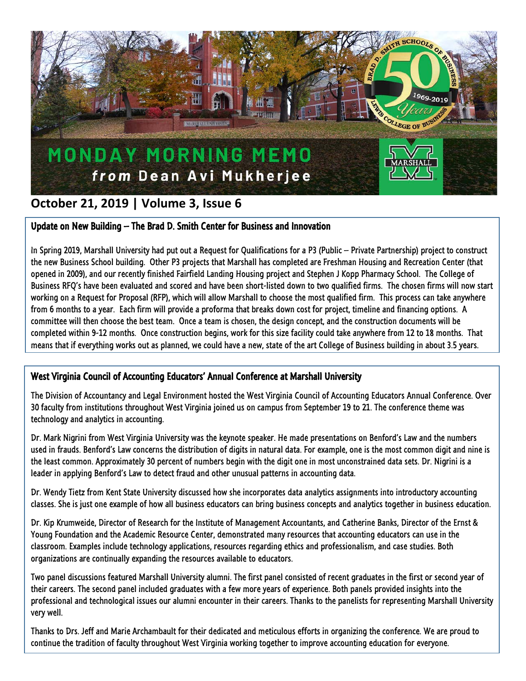

## **October 21, 2019 | Volume 3, Issue 6**

## Update on New Building – The Brad D. Smith Center for Business and Innovation

In Spring 2019, Marshall University had put out a Request for Qualifications for a P3 (Public – Private Partnership) project to construct the new Business School building. Other P3 projects that Marshall has completed are Freshman Housing and Recreation Center (that opened in 2009), and our recently finished Fairfield Landing Housing project and Stephen J Kopp Pharmacy School. The College of Business RFQ's have been evaluated and scored and have been short-listed down to two qualified firms. The chosen firms will now start working on a Request for Proposal (RFP), which will allow Marshall to choose the most qualified firm. This process can take anywhere from 6 months to a year. Each firm will provide a proforma that breaks down cost for project, timeline and financing options. A committee will then choose the best team. Once a team is chosen, the design concept, and the construction documents will be completed within 9-12 months. Once construction begins, work for this size facility could take anywhere from 12 to 18 months. That means that if everything works out as planned, we could have a new, state of the art College of Business building in about 3.5 years.

## West Virginia Council of Accounting Educators' Annual Conference at Marshall University

The Division of Accountancy and Legal Environment hosted the West Virginia Council of Accounting Educators Annual Conference. Over 30 faculty from institutions throughout West Virginia joined us on campus from September 19 to 21. The conference theme was technology and analytics in accounting.

Dr. Mark Nigrini from West Virginia University was the keynote speaker. He made presentations on Benford's Law and the numbers used in frauds. Benford's Law concerns the distribution of digits in natural data. For example, one is the most common digit and nine is the least common. Approximately 30 percent of numbers begin with the digit one in most unconstrained data sets. Dr. Nigrini is a leader in applying Benford's Law to detect fraud and other unusual patterns in accounting data.

Dr. Wendy Tietz from Kent State University discussed how she incorporates data analytics assignments into introductory accounting classes. She is just one example of how all business educators can bring business concepts and analytics together in business education.

Dr. Kip Krumweide, Director of Research for the Institute of Management Accountants, and Catherine Banks, Director of the Ernst & Young Foundation and the Academic Resource Center, demonstrated many resources that accounting educators can use in the classroom. Examples include technology applications, resources regarding ethics and professionalism, and case studies. Both organizations are continually expanding the resources available to educators.

Two panel discussions featured Marshall University alumni. The first panel consisted of recent graduates in the first or second year of their careers. The second panel included graduates with a few more years of experience. Both panels provided insights into the professional and technological issues our alumni encounter in their careers. Thanks to the panelists for representing Marshall University very well.

Thanks to Drs. Jeff and Marie Archambault for their dedicated and meticulous efforts in organizing the conference. We are proud to continue the tradition of faculty throughout West Virginia working together to improve accounting education for everyone.